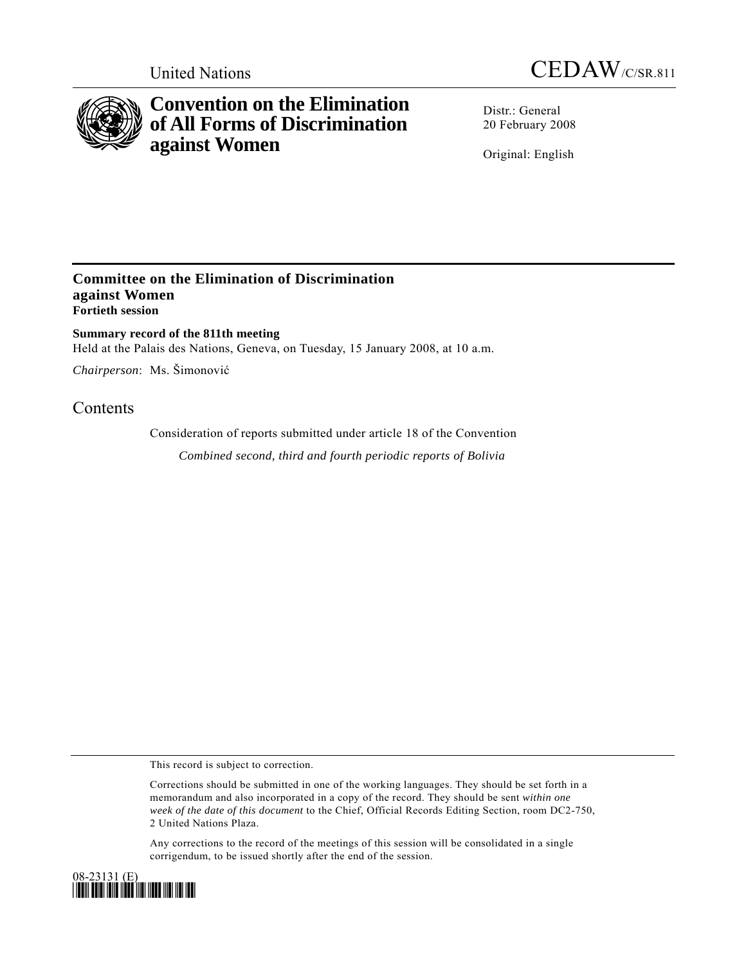



# **Convention on the Elimination of All Forms of Discrimination against Women**

Distr · General 20 February 2008

Original: English

### **Committee on the Elimination of Discrimination against Women Fortieth session**

**Summary record of the 811th meeting**  Held at the Palais des Nations, Geneva, on Tuesday, 15 January 2008, at 10 a.m.

*Chairperson*: Ms. Šimonović

## **Contents**

Consideration of reports submitted under article 18 of the Convention

*Combined second, third and fourth periodic reports of Bolivia* 

This record is subject to correction.

Corrections should be submitted in one of the working languages. They should be set forth in a memorandum and also incorporated in a copy of the record. They should be sent *within one week of the date of this document* to the Chief, Official Records Editing Section, room DC2-750, 2 United Nations Plaza.

Any corrections to the record of the meetings of this session will be consolidated in a single corrigendum, to be issued shortly after the end of the session.

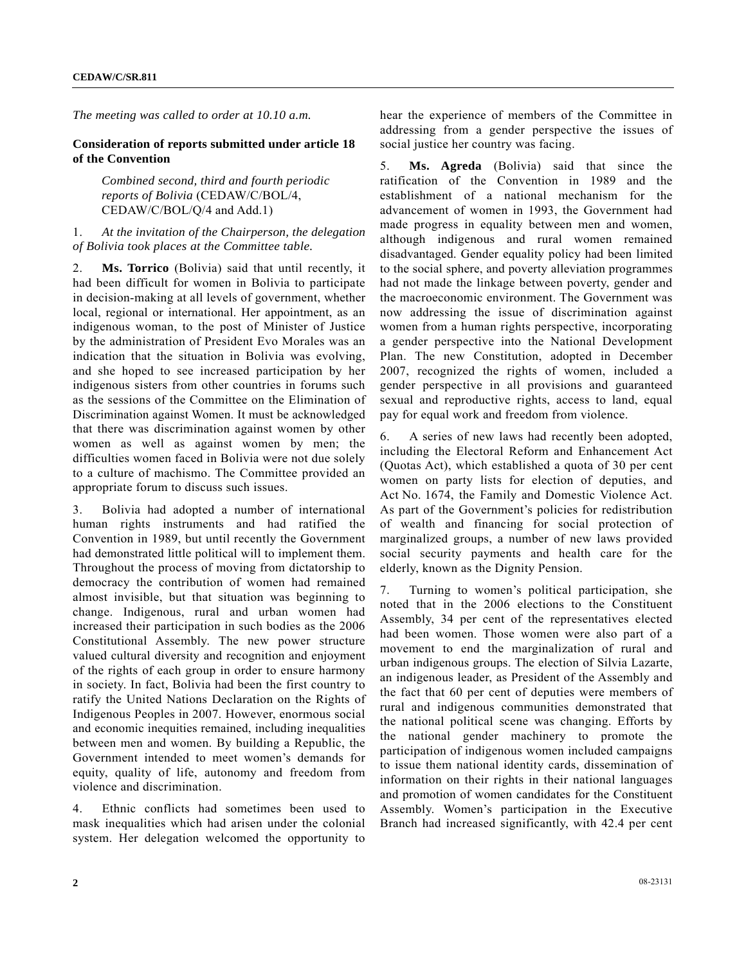*The meeting was called to order at 10.10 a.m.* 

#### **Consideration of reports submitted under article 18 of the Convention**

 *Combined second, third and fourth periodic reports of Bolivia* (CEDAW/C/BOL/4, CEDAW/C/BOL/Q/4 and Add.1)

#### 1. *At the invitation of the Chairperson, the delegation of Bolivia took places at the Committee table.*

2. **Ms. Torrico** (Bolivia) said that until recently, it had been difficult for women in Bolivia to participate in decision-making at all levels of government, whether local, regional or international. Her appointment, as an indigenous woman, to the post of Minister of Justice by the administration of President Evo Morales was an indication that the situation in Bolivia was evolving, and she hoped to see increased participation by her indigenous sisters from other countries in forums such as the sessions of the Committee on the Elimination of Discrimination against Women. It must be acknowledged that there was discrimination against women by other women as well as against women by men; the difficulties women faced in Bolivia were not due solely to a culture of machismo. The Committee provided an appropriate forum to discuss such issues.

3. Bolivia had adopted a number of international human rights instruments and had ratified the Convention in 1989, but until recently the Government had demonstrated little political will to implement them. Throughout the process of moving from dictatorship to democracy the contribution of women had remained almost invisible, but that situation was beginning to change. Indigenous, rural and urban women had increased their participation in such bodies as the 2006 Constitutional Assembly. The new power structure valued cultural diversity and recognition and enjoyment of the rights of each group in order to ensure harmony in society. In fact, Bolivia had been the first country to ratify the United Nations Declaration on the Rights of Indigenous Peoples in 2007. However, enormous social and economic inequities remained, including inequalities between men and women. By building a Republic, the Government intended to meet women's demands for equity, quality of life, autonomy and freedom from violence and discrimination.

4. Ethnic conflicts had sometimes been used to mask inequalities which had arisen under the colonial system. Her delegation welcomed the opportunity to hear the experience of members of the Committee in addressing from a gender perspective the issues of social justice her country was facing.

5. **Ms. Agreda** (Bolivia) said that since the ratification of the Convention in 1989 and the establishment of a national mechanism for the advancement of women in 1993, the Government had made progress in equality between men and women, although indigenous and rural women remained disadvantaged. Gender equality policy had been limited to the social sphere, and poverty alleviation programmes had not made the linkage between poverty, gender and the macroeconomic environment. The Government was now addressing the issue of discrimination against women from a human rights perspective, incorporating a gender perspective into the National Development Plan. The new Constitution, adopted in December 2007, recognized the rights of women, included a gender perspective in all provisions and guaranteed sexual and reproductive rights, access to land, equal pay for equal work and freedom from violence.

6. A series of new laws had recently been adopted, including the Electoral Reform and Enhancement Act (Quotas Act), which established a quota of 30 per cent women on party lists for election of deputies, and Act No. 1674, the Family and Domestic Violence Act. As part of the Government's policies for redistribution of wealth and financing for social protection of marginalized groups, a number of new laws provided social security payments and health care for the elderly, known as the Dignity Pension.

7. Turning to women's political participation, she noted that in the 2006 elections to the Constituent Assembly, 34 per cent of the representatives elected had been women. Those women were also part of a movement to end the marginalization of rural and urban indigenous groups. The election of Silvia Lazarte, an indigenous leader, as President of the Assembly and the fact that 60 per cent of deputies were members of rural and indigenous communities demonstrated that the national political scene was changing. Efforts by the national gender machinery to promote the participation of indigenous women included campaigns to issue them national identity cards, dissemination of information on their rights in their national languages and promotion of women candidates for the Constituent Assembly. Women's participation in the Executive Branch had increased significantly, with 42.4 per cent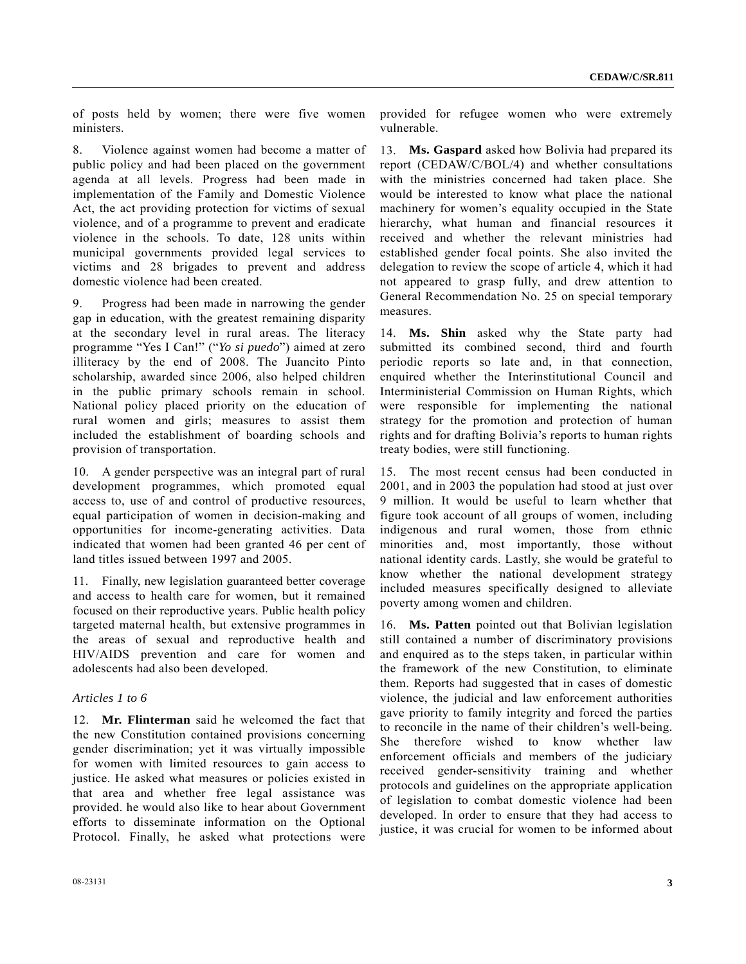of posts held by women; there were five women ministers.

8. Violence against women had become a matter of public policy and had been placed on the government agenda at all levels. Progress had been made in implementation of the Family and Domestic Violence Act, the act providing protection for victims of sexual violence, and of a programme to prevent and eradicate violence in the schools. To date, 128 units within municipal governments provided legal services to victims and 28 brigades to prevent and address domestic violence had been created.

9. Progress had been made in narrowing the gender gap in education, with the greatest remaining disparity at the secondary level in rural areas. The literacy programme "Yes I Can!" ("*Yo si puedo*") aimed at zero illiteracy by the end of 2008. The Juancito Pinto scholarship, awarded since 2006, also helped children in the public primary schools remain in school. National policy placed priority on the education of rural women and girls; measures to assist them included the establishment of boarding schools and provision of transportation.

10. A gender perspective was an integral part of rural development programmes, which promoted equal access to, use of and control of productive resources, equal participation of women in decision-making and opportunities for income-generating activities. Data indicated that women had been granted 46 per cent of land titles issued between 1997 and 2005.

11. Finally, new legislation guaranteed better coverage and access to health care for women, but it remained focused on their reproductive years. Public health policy targeted maternal health, but extensive programmes in the areas of sexual and reproductive health and HIV/AIDS prevention and care for women and adolescents had also been developed.

#### *Articles 1 to 6*

12. **Mr. Flinterman** said he welcomed the fact that the new Constitution contained provisions concerning gender discrimination; yet it was virtually impossible for women with limited resources to gain access to justice. He asked what measures or policies existed in that area and whether free legal assistance was provided. he would also like to hear about Government efforts to disseminate information on the Optional Protocol. Finally, he asked what protections were

provided for refugee women who were extremely vulnerable.

13. **Ms. Gaspard** asked how Bolivia had prepared its report (CEDAW/C/BOL/4) and whether consultations with the ministries concerned had taken place. She would be interested to know what place the national machinery for women's equality occupied in the State hierarchy, what human and financial resources it received and whether the relevant ministries had established gender focal points. She also invited the delegation to review the scope of article 4, which it had not appeared to grasp fully, and drew attention to General Recommendation No. 25 on special temporary measures.

14. **Ms. Shin** asked why the State party had submitted its combined second, third and fourth periodic reports so late and, in that connection, enquired whether the Interinstitutional Council and Interministerial Commission on Human Rights, which were responsible for implementing the national strategy for the promotion and protection of human rights and for drafting Bolivia's reports to human rights treaty bodies, were still functioning.

15. The most recent census had been conducted in 2001, and in 2003 the population had stood at just over 9 million. It would be useful to learn whether that figure took account of all groups of women, including indigenous and rural women, those from ethnic minorities and, most importantly, those without national identity cards. Lastly, she would be grateful to know whether the national development strategy included measures specifically designed to alleviate poverty among women and children.

16. **Ms. Patten** pointed out that Bolivian legislation still contained a number of discriminatory provisions and enquired as to the steps taken, in particular within the framework of the new Constitution, to eliminate them. Reports had suggested that in cases of domestic violence, the judicial and law enforcement authorities gave priority to family integrity and forced the parties to reconcile in the name of their children's well-being. She therefore wished to know whether law enforcement officials and members of the judiciary received gender-sensitivity training and whether protocols and guidelines on the appropriate application of legislation to combat domestic violence had been developed. In order to ensure that they had access to justice, it was crucial for women to be informed about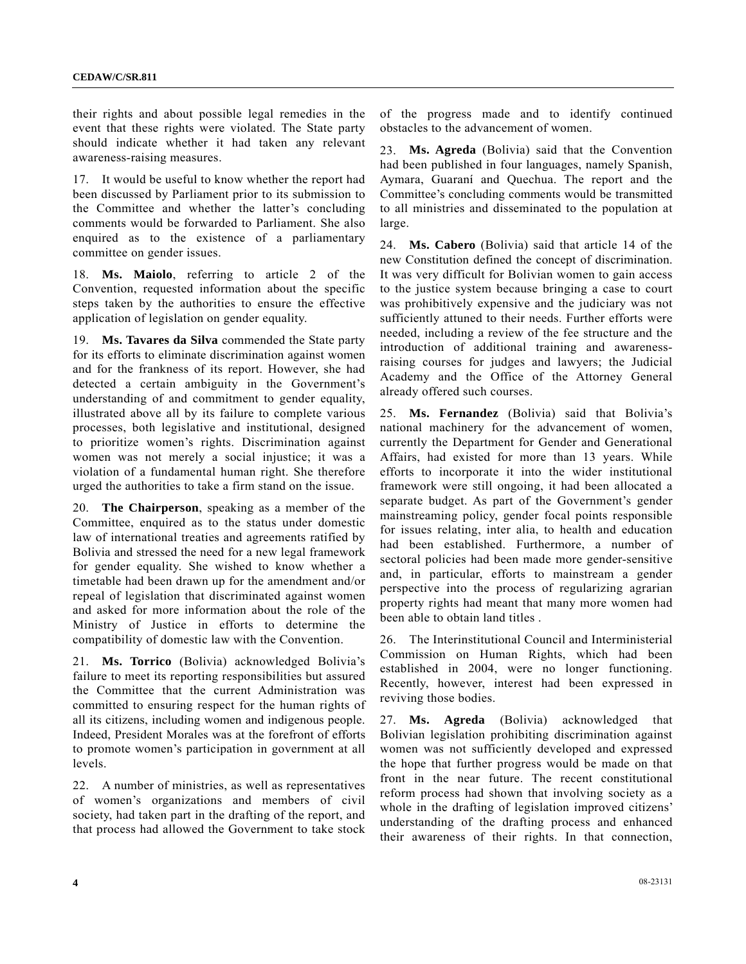their rights and about possible legal remedies in the event that these rights were violated. The State party should indicate whether it had taken any relevant awareness-raising measures.

17. It would be useful to know whether the report had been discussed by Parliament prior to its submission to the Committee and whether the latter's concluding comments would be forwarded to Parliament. She also enquired as to the existence of a parliamentary committee on gender issues.

18. **Ms. Maiolo**, referring to article 2 of the Convention, requested information about the specific steps taken by the authorities to ensure the effective application of legislation on gender equality.

19. **Ms. Tavares da Silva** commended the State party for its efforts to eliminate discrimination against women and for the frankness of its report. However, she had detected a certain ambiguity in the Government's understanding of and commitment to gender equality, illustrated above all by its failure to complete various processes, both legislative and institutional, designed to prioritize women's rights. Discrimination against women was not merely a social injustice; it was a violation of a fundamental human right. She therefore urged the authorities to take a firm stand on the issue.

20. **The Chairperson**, speaking as a member of the Committee, enquired as to the status under domestic law of international treaties and agreements ratified by Bolivia and stressed the need for a new legal framework for gender equality. She wished to know whether a timetable had been drawn up for the amendment and/or repeal of legislation that discriminated against women and asked for more information about the role of the Ministry of Justice in efforts to determine the compatibility of domestic law with the Convention.

21. **Ms. Torrico** (Bolivia) acknowledged Bolivia's failure to meet its reporting responsibilities but assured the Committee that the current Administration was committed to ensuring respect for the human rights of all its citizens, including women and indigenous people. Indeed, President Morales was at the forefront of efforts to promote women's participation in government at all levels.

22. A number of ministries, as well as representatives of women's organizations and members of civil society, had taken part in the drafting of the report, and that process had allowed the Government to take stock of the progress made and to identify continued obstacles to the advancement of women.

23. **Ms. Agreda** (Bolivia) said that the Convention had been published in four languages, namely Spanish, Aymara, Guaraní and Quechua. The report and the Committee's concluding comments would be transmitted to all ministries and disseminated to the population at large.

24. **Ms. Cabero** (Bolivia) said that article 14 of the new Constitution defined the concept of discrimination. It was very difficult for Bolivian women to gain access to the justice system because bringing a case to court was prohibitively expensive and the judiciary was not sufficiently attuned to their needs. Further efforts were needed, including a review of the fee structure and the introduction of additional training and awarenessraising courses for judges and lawyers; the Judicial Academy and the Office of the Attorney General already offered such courses.

25. **Ms. Fernandez** (Bolivia) said that Bolivia's national machinery for the advancement of women, currently the Department for Gender and Generational Affairs, had existed for more than 13 years. While efforts to incorporate it into the wider institutional framework were still ongoing, it had been allocated a separate budget. As part of the Government's gender mainstreaming policy, gender focal points responsible for issues relating, inter alia, to health and education had been established. Furthermore, a number of sectoral policies had been made more gender-sensitive and, in particular, efforts to mainstream a gender perspective into the process of regularizing agrarian property rights had meant that many more women had been able to obtain land titles .

26. The Interinstitutional Council and Interministerial Commission on Human Rights, which had been established in 2004, were no longer functioning. Recently, however, interest had been expressed in reviving those bodies.

27. **Ms. Agreda** (Bolivia) acknowledged that Bolivian legislation prohibiting discrimination against women was not sufficiently developed and expressed the hope that further progress would be made on that front in the near future. The recent constitutional reform process had shown that involving society as a whole in the drafting of legislation improved citizens' understanding of the drafting process and enhanced their awareness of their rights. In that connection,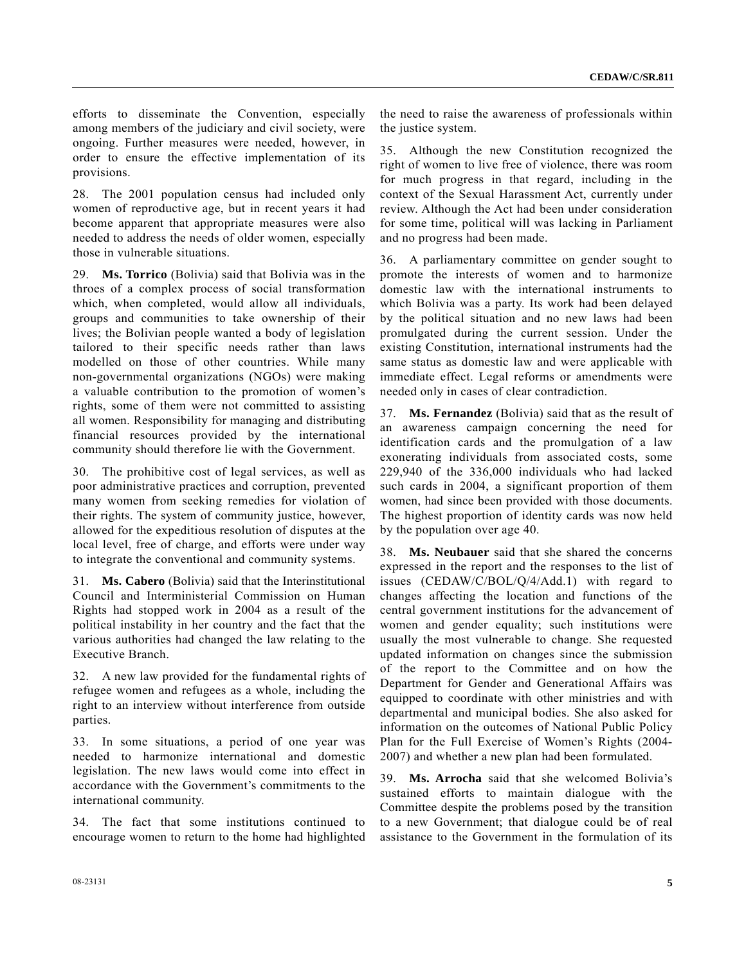efforts to disseminate the Convention, especially among members of the judiciary and civil society, were ongoing. Further measures were needed, however, in order to ensure the effective implementation of its provisions.

28. The 2001 population census had included only women of reproductive age, but in recent years it had become apparent that appropriate measures were also needed to address the needs of older women, especially those in vulnerable situations.

29. **Ms. Torrico** (Bolivia) said that Bolivia was in the throes of a complex process of social transformation which, when completed, would allow all individuals, groups and communities to take ownership of their lives; the Bolivian people wanted a body of legislation tailored to their specific needs rather than laws modelled on those of other countries. While many non-governmental organizations (NGOs) were making a valuable contribution to the promotion of women's rights, some of them were not committed to assisting all women. Responsibility for managing and distributing financial resources provided by the international community should therefore lie with the Government.

30. The prohibitive cost of legal services, as well as poor administrative practices and corruption, prevented many women from seeking remedies for violation of their rights. The system of community justice, however, allowed for the expeditious resolution of disputes at the local level, free of charge, and efforts were under way to integrate the conventional and community systems.

31. **Ms. Cabero** (Bolivia) said that the Interinstitutional Council and Interministerial Commission on Human Rights had stopped work in 2004 as a result of the political instability in her country and the fact that the various authorities had changed the law relating to the Executive Branch.

32. A new law provided for the fundamental rights of refugee women and refugees as a whole, including the right to an interview without interference from outside parties.

33. In some situations, a period of one year was needed to harmonize international and domestic legislation. The new laws would come into effect in accordance with the Government's commitments to the international community.

34. The fact that some institutions continued to encourage women to return to the home had highlighted the need to raise the awareness of professionals within the justice system.

35. Although the new Constitution recognized the right of women to live free of violence, there was room for much progress in that regard, including in the context of the Sexual Harassment Act, currently under review. Although the Act had been under consideration for some time, political will was lacking in Parliament and no progress had been made.

36. A parliamentary committee on gender sought to promote the interests of women and to harmonize domestic law with the international instruments to which Bolivia was a party. Its work had been delayed by the political situation and no new laws had been promulgated during the current session. Under the existing Constitution, international instruments had the same status as domestic law and were applicable with immediate effect. Legal reforms or amendments were needed only in cases of clear contradiction.

37. **Ms. Fernandez** (Bolivia) said that as the result of an awareness campaign concerning the need for identification cards and the promulgation of a law exonerating individuals from associated costs, some 229,940 of the 336,000 individuals who had lacked such cards in 2004, a significant proportion of them women, had since been provided with those documents. The highest proportion of identity cards was now held by the population over age 40.

38. **Ms. Neubauer** said that she shared the concerns expressed in the report and the responses to the list of issues (CEDAW/C/BOL/Q/4/Add.1) with regard to changes affecting the location and functions of the central government institutions for the advancement of women and gender equality; such institutions were usually the most vulnerable to change. She requested updated information on changes since the submission of the report to the Committee and on how the Department for Gender and Generational Affairs was equipped to coordinate with other ministries and with departmental and municipal bodies. She also asked for information on the outcomes of National Public Policy Plan for the Full Exercise of Women's Rights (2004- 2007) and whether a new plan had been formulated.

39. **Ms. Arrocha** said that she welcomed Bolivia's sustained efforts to maintain dialogue with the Committee despite the problems posed by the transition to a new Government; that dialogue could be of real assistance to the Government in the formulation of its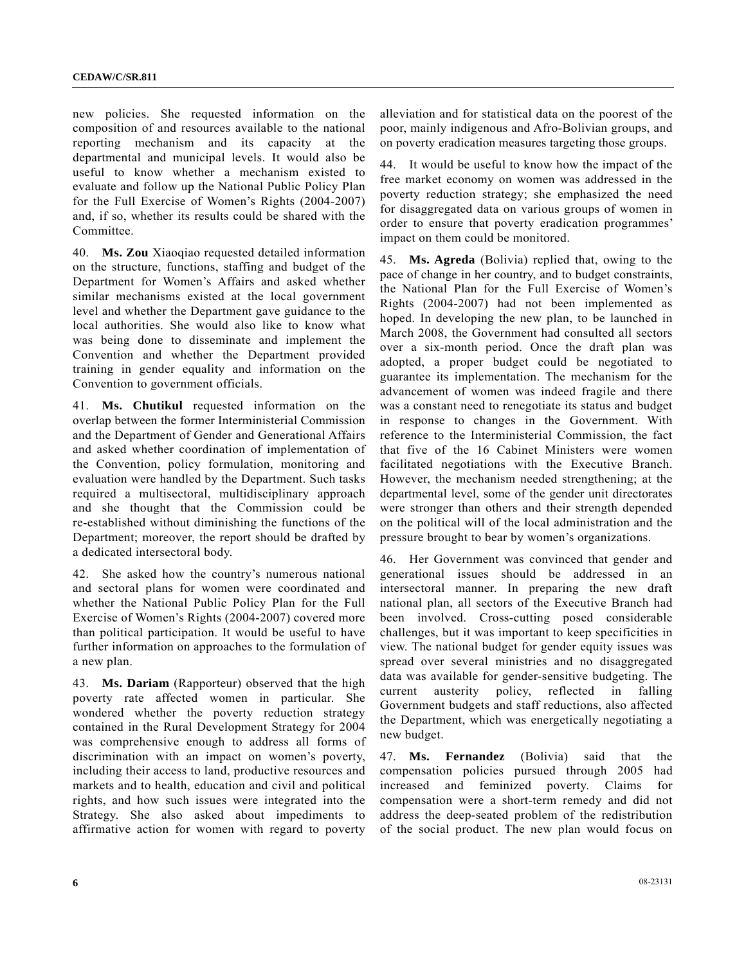new policies. She requested information on the composition of and resources available to the national reporting mechanism and its capacity at the departmental and municipal levels. It would also be useful to know whether a mechanism existed to evaluate and follow up the National Public Policy Plan for the Full Exercise of Women's Rights (2004-2007) and, if so, whether its results could be shared with the Committee.

40. **Ms. Zou** Xiaoqiao requested detailed information on the structure, functions, staffing and budget of the Department for Women's Affairs and asked whether similar mechanisms existed at the local government level and whether the Department gave guidance to the local authorities. She would also like to know what was being done to disseminate and implement the Convention and whether the Department provided training in gender equality and information on the Convention to government officials.

41. **Ms. Chutikul** requested information on the overlap between the former Interministerial Commission and the Department of Gender and Generational Affairs and asked whether coordination of implementation of the Convention, policy formulation, monitoring and evaluation were handled by the Department. Such tasks required a multisectoral, multidisciplinary approach and she thought that the Commission could be re-established without diminishing the functions of the Department; moreover, the report should be drafted by a dedicated intersectoral body.

42. She asked how the country's numerous national and sectoral plans for women were coordinated and whether the National Public Policy Plan for the Full Exercise of Women's Rights (2004-2007) covered more than political participation. It would be useful to have further information on approaches to the formulation of a new plan.

43. **Ms. Dariam** (Rapporteur) observed that the high poverty rate affected women in particular. She wondered whether the poverty reduction strategy contained in the Rural Development Strategy for 2004 was comprehensive enough to address all forms of discrimination with an impact on women's poverty, including their access to land, productive resources and markets and to health, education and civil and political rights, and how such issues were integrated into the Strategy. She also asked about impediments to affirmative action for women with regard to poverty

alleviation and for statistical data on the poorest of the poor, mainly indigenous and Afro-Bolivian groups, and on poverty eradication measures targeting those groups.

44. It would be useful to know how the impact of the free market economy on women was addressed in the poverty reduction strategy; she emphasized the need for disaggregated data on various groups of women in order to ensure that poverty eradication programmes' impact on them could be monitored.

45. **Ms. Agreda** (Bolivia) replied that, owing to the pace of change in her country, and to budget constraints, the National Plan for the Full Exercise of Women's Rights (2004-2007) had not been implemented as hoped. In developing the new plan, to be launched in March 2008, the Government had consulted all sectors over a six-month period. Once the draft plan was adopted, a proper budget could be negotiated to guarantee its implementation. The mechanism for the advancement of women was indeed fragile and there was a constant need to renegotiate its status and budget in response to changes in the Government. With reference to the Interministerial Commission, the fact that five of the 16 Cabinet Ministers were women facilitated negotiations with the Executive Branch. However, the mechanism needed strengthening; at the departmental level, some of the gender unit directorates were stronger than others and their strength depended on the political will of the local administration and the pressure brought to bear by women's organizations.

46. Her Government was convinced that gender and generational issues should be addressed in an intersectoral manner. In preparing the new draft national plan, all sectors of the Executive Branch had been involved. Cross-cutting posed considerable challenges, but it was important to keep specificities in view. The national budget for gender equity issues was spread over several ministries and no disaggregated data was available for gender-sensitive budgeting. The current austerity policy, reflected in falling Government budgets and staff reductions, also affected the Department, which was energetically negotiating a new budget.

47. **Ms. Fernandez** (Bolivia) said that the compensation policies pursued through 2005 had increased and feminized poverty. Claims for compensation were a short-term remedy and did not address the deep-seated problem of the redistribution of the social product. The new plan would focus on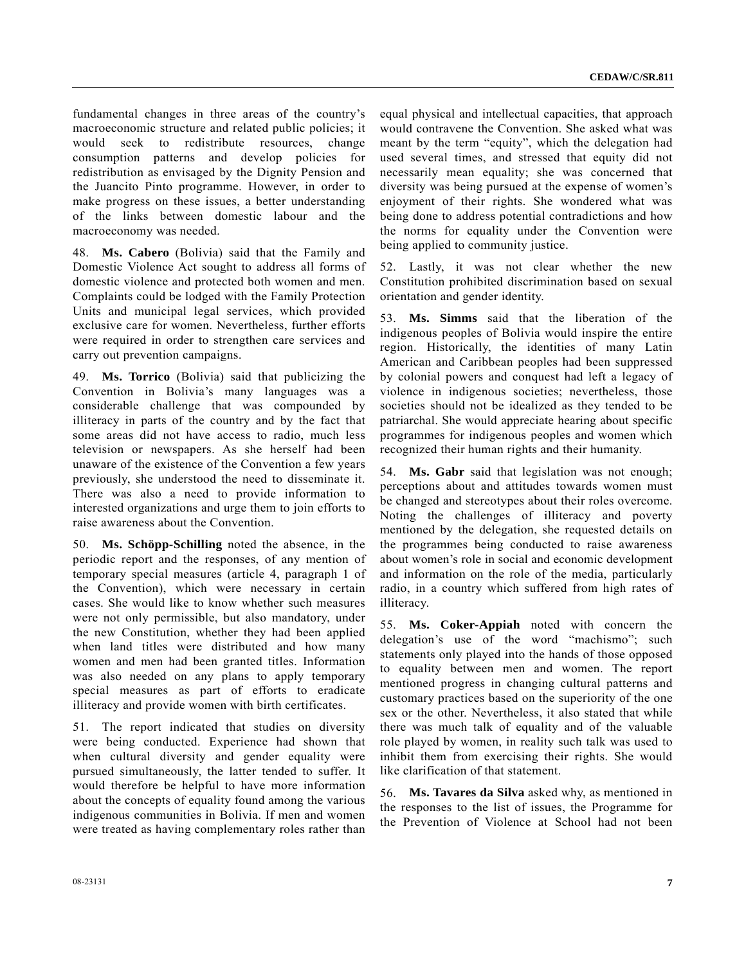fundamental changes in three areas of the country's macroeconomic structure and related public policies; it would seek to redistribute resources, change consumption patterns and develop policies for redistribution as envisaged by the Dignity Pension and the Juancito Pinto programme. However, in order to make progress on these issues, a better understanding of the links between domestic labour and the macroeconomy was needed.

48. **Ms. Cabero** (Bolivia) said that the Family and Domestic Violence Act sought to address all forms of domestic violence and protected both women and men. Complaints could be lodged with the Family Protection Units and municipal legal services, which provided exclusive care for women. Nevertheless, further efforts were required in order to strengthen care services and carry out prevention campaigns.

49. **Ms. Torrico** (Bolivia) said that publicizing the Convention in Bolivia's many languages was a considerable challenge that was compounded by illiteracy in parts of the country and by the fact that some areas did not have access to radio, much less television or newspapers. As she herself had been unaware of the existence of the Convention a few years previously, she understood the need to disseminate it. There was also a need to provide information to interested organizations and urge them to join efforts to raise awareness about the Convention.

50. **Ms. Schöpp-Schilling** noted the absence, in the periodic report and the responses, of any mention of temporary special measures (article 4, paragraph 1 of the Convention), which were necessary in certain cases. She would like to know whether such measures were not only permissible, but also mandatory, under the new Constitution, whether they had been applied when land titles were distributed and how many women and men had been granted titles. Information was also needed on any plans to apply temporary special measures as part of efforts to eradicate illiteracy and provide women with birth certificates.

51. The report indicated that studies on diversity were being conducted. Experience had shown that when cultural diversity and gender equality were pursued simultaneously, the latter tended to suffer. It would therefore be helpful to have more information about the concepts of equality found among the various indigenous communities in Bolivia. If men and women were treated as having complementary roles rather than equal physical and intellectual capacities, that approach would contravene the Convention. She asked what was meant by the term "equity", which the delegation had used several times, and stressed that equity did not necessarily mean equality; she was concerned that diversity was being pursued at the expense of women's enjoyment of their rights. She wondered what was being done to address potential contradictions and how the norms for equality under the Convention were being applied to community justice.

52. Lastly, it was not clear whether the new Constitution prohibited discrimination based on sexual orientation and gender identity.

53. **Ms. Simms** said that the liberation of the indigenous peoples of Bolivia would inspire the entire region. Historically, the identities of many Latin American and Caribbean peoples had been suppressed by colonial powers and conquest had left a legacy of violence in indigenous societies; nevertheless, those societies should not be idealized as they tended to be patriarchal. She would appreciate hearing about specific programmes for indigenous peoples and women which recognized their human rights and their humanity.

54. **Ms. Gabr** said that legislation was not enough; perceptions about and attitudes towards women must be changed and stereotypes about their roles overcome. Noting the challenges of illiteracy and poverty mentioned by the delegation, she requested details on the programmes being conducted to raise awareness about women's role in social and economic development and information on the role of the media, particularly radio, in a country which suffered from high rates of illiteracy.

55. **Ms. Coker-Appiah** noted with concern the delegation's use of the word "machismo"; such statements only played into the hands of those opposed to equality between men and women. The report mentioned progress in changing cultural patterns and customary practices based on the superiority of the one sex or the other. Nevertheless, it also stated that while there was much talk of equality and of the valuable role played by women, in reality such talk was used to inhibit them from exercising their rights. She would like clarification of that statement.

56. **Ms. Tavares da Silva** asked why, as mentioned in the responses to the list of issues, the Programme for the Prevention of Violence at School had not been